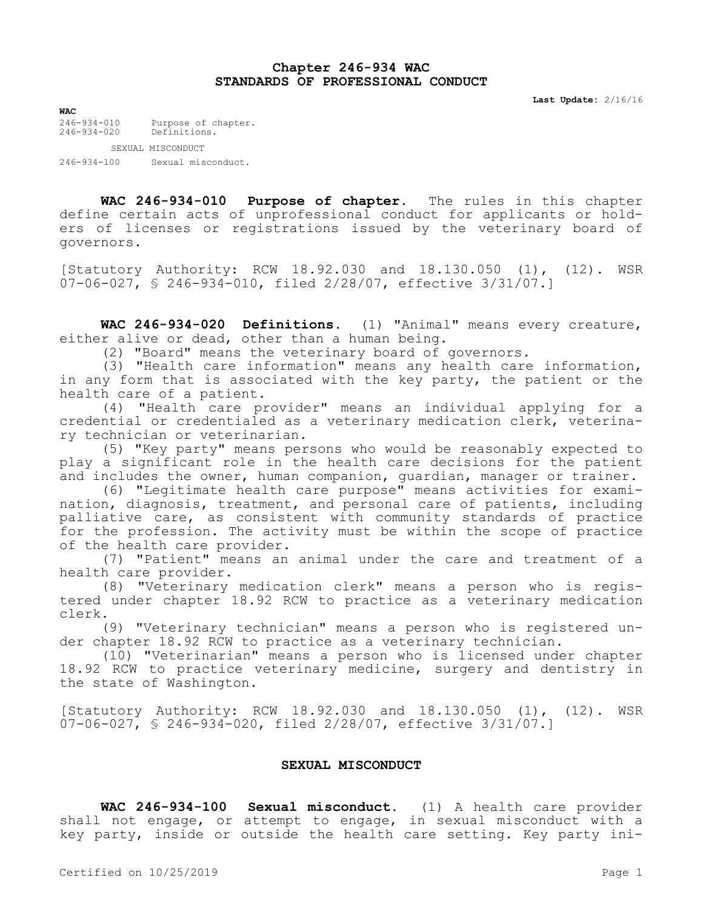## **Chapter 246-934 WAC STANDARDS OF PROFESSIONAL CONDUCT**

**Last Update:** 2/16/16

**WAC**<br>246-934-010 246-934-010 Purpose of chapter. 246-934-020 Definitions.

SEXUAL MISCONDUCT

246-934-100 Sexual misconduct.

**WAC 246-934-010 Purpose of chapter.** The rules in this chapter define certain acts of unprofessional conduct for applicants or holders of licenses or registrations issued by the veterinary board of governors.

[Statutory Authority: RCW 18.92.030 and 18.130.050 (1), (12). WSR 07-06-027, § 246-934-010, filed 2/28/07, effective 3/31/07.]

**WAC 246-934-020 Definitions.** (1) "Animal" means every creature, either alive or dead, other than a human being.

(2) "Board" means the veterinary board of governors.

(3) "Health care information" means any health care information, in any form that is associated with the key party, the patient or the health care of a patient.

(4) "Health care provider" means an individual applying for a credential or credentialed as a veterinary medication clerk, veterinary technician or veterinarian.

(5) "Key party" means persons who would be reasonably expected to play a significant role in the health care decisions for the patient and includes the owner, human companion, guardian, manager or trainer.

(6) "Legitimate health care purpose" means activities for examination, diagnosis, treatment, and personal care of patients, including palliative care, as consistent with community standards of practice for the profession. The activity must be within the scope of practice of the health care provider.

(7) "Patient" means an animal under the care and treatment of a health care provider.

(8) "Veterinary medication clerk" means a person who is registered under chapter 18.92 RCW to practice as a veterinary medication clerk.

(9) "Veterinary technician" means a person who is registered under chapter 18.92 RCW to practice as a veterinary technician.

(10) "Veterinarian" means a person who is licensed under chapter 18.92 RCW to practice veterinary medicine, surgery and dentistry in the state of Washington.

[Statutory Authority: RCW 18.92.030 and 18.130.050 (1), (12). WSR 07-06-027, § 246-934-020, filed 2/28/07, effective 3/31/07.]

## **SEXUAL MISCONDUCT**

**WAC 246-934-100 Sexual misconduct.** (1) A health care provider shall not engage, or attempt to engage, in sexual misconduct with a key party, inside or outside the health care setting. Key party ini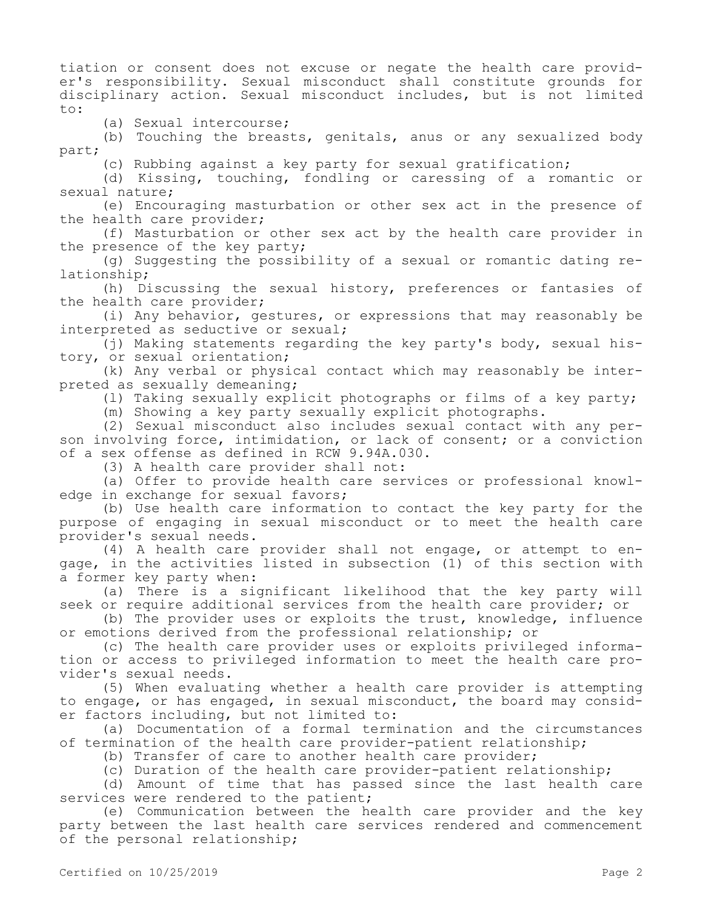tiation or consent does not excuse or negate the health care provider's responsibility. Sexual misconduct shall constitute grounds for disciplinary action. Sexual misconduct includes, but is not limited to:

(a) Sexual intercourse;

(b) Touching the breasts, genitals, anus or any sexualized body part;

(c) Rubbing against a key party for sexual gratification;

(d) Kissing, touching, fondling or caressing of a romantic or sexual nature;

(e) Encouraging masturbation or other sex act in the presence of the health care provider;

(f) Masturbation or other sex act by the health care provider in the presence of the key party;

(g) Suggesting the possibility of a sexual or romantic dating relationship;

(h) Discussing the sexual history, preferences or fantasies of the health care provider;

(i) Any behavior, gestures, or expressions that may reasonably be interpreted as seductive or sexual;

(j) Making statements regarding the key party's body, sexual history, or sexual orientation;

(k) Any verbal or physical contact which may reasonably be interpreted as sexually demeaning;

(l) Taking sexually explicit photographs or films of a key party;

(m) Showing a key party sexually explicit photographs.

(2) Sexual misconduct also includes sexual contact with any person involving force, intimidation, or lack of consent; or a conviction of a sex offense as defined in RCW 9.94A.030.

(3) A health care provider shall not:

(a) Offer to provide health care services or professional knowledge in exchange for sexual favors;

(b) Use health care information to contact the key party for the purpose of engaging in sexual misconduct or to meet the health care provider's sexual needs.

(4) A health care provider shall not engage, or attempt to engage, in the activities listed in subsection (1) of this section with a former key party when:

(a) There is a significant likelihood that the key party will seek or require additional services from the health care provider; or

(b) The provider uses or exploits the trust, knowledge, influence or emotions derived from the professional relationship; or

(c) The health care provider uses or exploits privileged information or access to privileged information to meet the health care provider's sexual needs.

(5) When evaluating whether a health care provider is attempting to engage, or has engaged, in sexual misconduct, the board may consider factors including, but not limited to:

(a) Documentation of a formal termination and the circumstances of termination of the health care provider-patient relationship;

(b) Transfer of care to another health care provider;

(c) Duration of the health care provider-patient relationship;

(d) Amount of time that has passed since the last health care services were rendered to the patient;

(e) Communication between the health care provider and the key party between the last health care services rendered and commencement of the personal relationship;